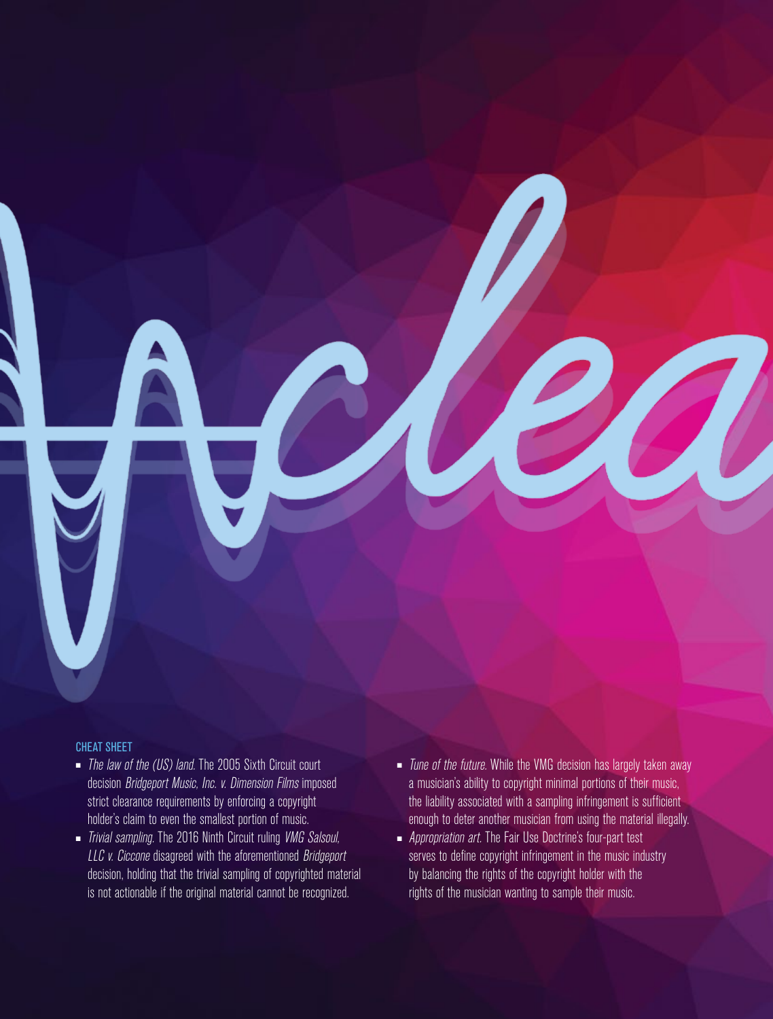CHEAT SHEET

- *The law of the (US) land*. The 2005 Sixth Circuit court decision *Bridgeport Music, Inc. v. Dimension Films* imposed strict clearance requirements by enforcing a copyright holder's claim to even the smallest portion of music.
- Trivial sampling. The 2016 Ninth Circuit ruling VMG Salsoul, LLC v. Ciccone disagreed with the aforementioned Bridgeport decision, holding that the trivial sampling of copyrighted material is not actionable if the original material cannot be recognized.
- Tune of the future. While the VMG decision has largely taken away a musician's ability to copyright minimal portions of their music, the liability associated with a sampling infringement is sufficient enough to deter another musician from using the material illegally.
- Appropriation art. The Fair Use Doctrine's four-part test serves to define copyright infringement in the music industry by balancing the rights of the copyright holder with the rights of the musician wanting to sample their music.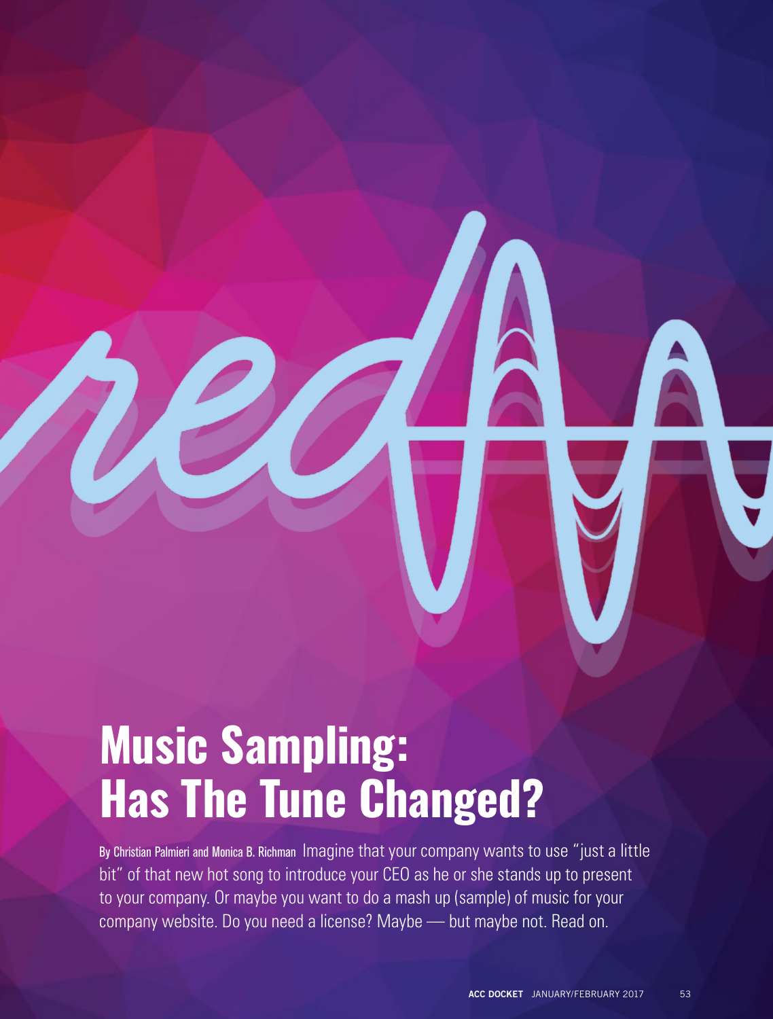# **Music Sampling: Has The Tune Changed?**

By Christian Palmieri and Monica B. Richman Imagine that your company wants to use "just a little bit" of that new hot song to introduce your CEO as he or she stands up to present to your company. Or maybe you want to do a mash up (sample) of music for your company website. Do you need a license? Maybe — but maybe not. Read on.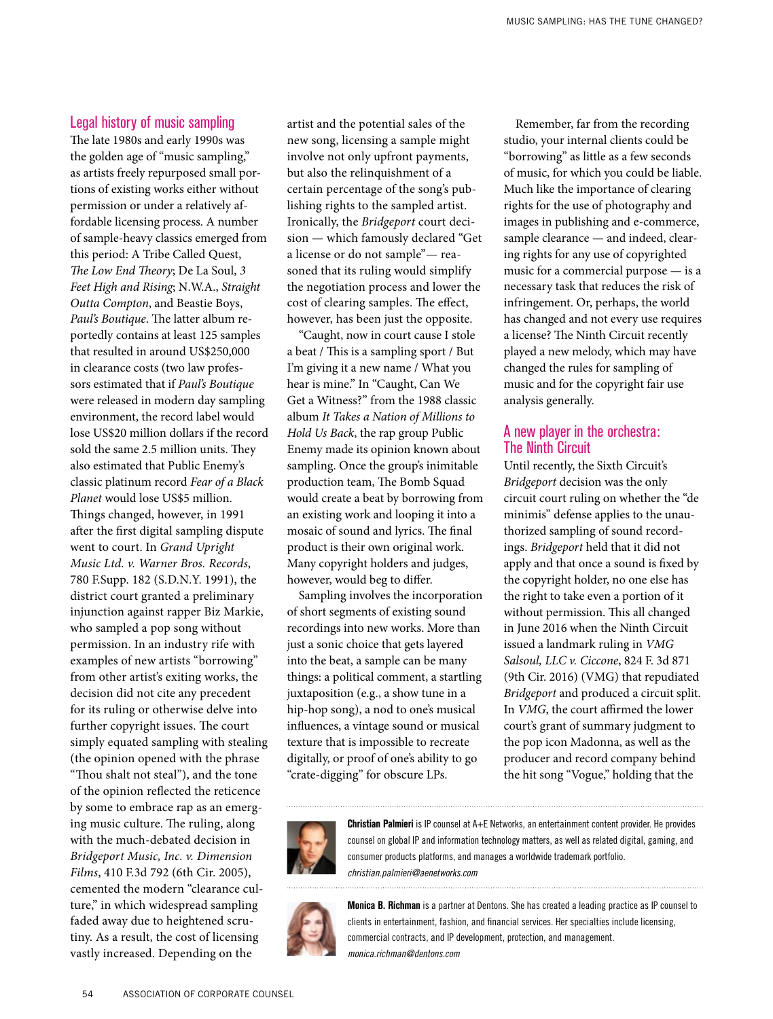## Legal history of music sampling

The late 1980s and early 1990s was the golden age of "music sampling," as artists freely repurposed small portions of existing works either without permission or under a relatively affordable licensing process. A number of sample-heavy classics emerged from this period: A Tribe Called Quest, *The Low End Theory*; De La Soul, *3 Feet High and Rising*; N.W.A., *Straight Outta Compton*, and Beastie Boys, *Paul's Boutique*. The latter album reportedly contains at least 125 samples that resulted in around US\$250,000 in clearance costs (two law professors estimated that if *Paul's Boutique*  were released in modern day sampling environment, the record label would lose US\$20 million dollars if the record sold the same 2.5 million units. They also estimated that Public Enemy's classic platinum record *Fear of a Black Planet* would lose US\$5 million. Things changed, however, in 1991 after the first digital sampling dispute went to court. In *Grand Upright Music Ltd. v. Warner Bros. Records*, 780 F.Supp. 182 (S.D.N.Y. 1991), the district court granted a preliminary injunction against rapper Biz Markie, who sampled a pop song without permission. In an industry rife with examples of new artists "borrowing" from other artist's exiting works, the decision did not cite any precedent for its ruling or otherwise delve into further copyright issues. The court simply equated sampling with stealing (the opinion opened with the phrase "Thou shalt not steal"), and the tone of the opinion reflected the reticence by some to embrace rap as an emerging music culture. The ruling, along with the much-debated decision in *Bridgeport Music, Inc. v. Dimension Films*, 410 F.3d 792 (6th Cir. 2005), cemented the modern "clearance culture," in which widespread sampling faded away due to heightened scrutiny. As a result, the cost of licensing vastly increased. Depending on the

artist and the potential sales of the new song, licensing a sample might involve not only upfront payments, but also the relinquishment of a certain percentage of the song's publishing rights to the sampled artist. Ironically, the *Bridgeport* court decision — which famously declared "Get a license or do not sample"— reasoned that its ruling would simplify the negotiation process and lower the cost of clearing samples. The effect, however, has been just the opposite.

"Caught, now in court cause I stole a beat / This is a sampling sport / But I'm giving it a new name / What you hear is mine." In "Caught, Can We Get a Witness?" from the 1988 classic album *It Takes a Nation of Millions to Hold Us Back*, the rap group Public Enemy made its opinion known about sampling. Once the group's inimitable production team, The Bomb Squad would create a beat by borrowing from an existing work and looping it into a mosaic of sound and lyrics. The final product is their own original work. Many copyright holders and judges, however, would beg to differ.

Sampling involves the incorporation of short segments of existing sound recordings into new works. More than just a sonic choice that gets layered into the beat, a sample can be many things: a political comment, a startling juxtaposition (e.g., a show tune in a hip-hop song), a nod to one's musical influences, a vintage sound or musical texture that is impossible to recreate digitally, or proof of one's ability to go "crate-digging" for obscure LPs.

Remember, far from the recording studio, your internal clients could be "borrowing" as little as a few seconds of music, for which you could be liable. Much like the importance of clearing rights for the use of photography and images in publishing and e-commerce, sample clearance — and indeed, clearing rights for any use of copyrighted music for a commercial purpose — is a necessary task that reduces the risk of infringement. Or, perhaps, the world has changed and not every use requires a license? The Ninth Circuit recently played a new melody, which may have changed the rules for sampling of music and for the copyright fair use analysis generally.

## A new player in the orchestra: The Ninth Circuit

Until recently, the Sixth Circuit's *Bridgeport* decision was the only circuit court ruling on whether the "de minimis" defense applies to the unauthorized sampling of sound recordings. *Bridgeport* held that it did not apply and that once a sound is fixed by the copyright holder, no one else has the right to take even a portion of it without permission. This all changed in June 2016 when the Ninth Circuit issued a landmark ruling in *VMG Salsoul, LLC v. Ciccone*, 824 F. 3d 871 (9th Cir. 2016) (VMG) that repudiated *Bridgeport* and produced a circuit split. In *VMG*, the court affirmed the lower court's grant of summary judgment to the pop icon Madonna, as well as the producer and record company behind the hit song "Vogue," holding that the



**Christian Palmieri** is IP counsel at A+E Networks, an entertainment content provider. He provides counsel on global IP and information technology matters, as well as related digital, gaming, and consumer products platforms, and manages a worldwide trademark portfolio. *christian.palmieri@aenetworks.com*



**Monica B. Richman** is a partner at Dentons. She has created a leading practice as IP counsel to clients in entertainment, fashion, and financial services. Her specialties include licensing, commercial contracts, and IP development, protection, and management. *monica.richman@dentons.com*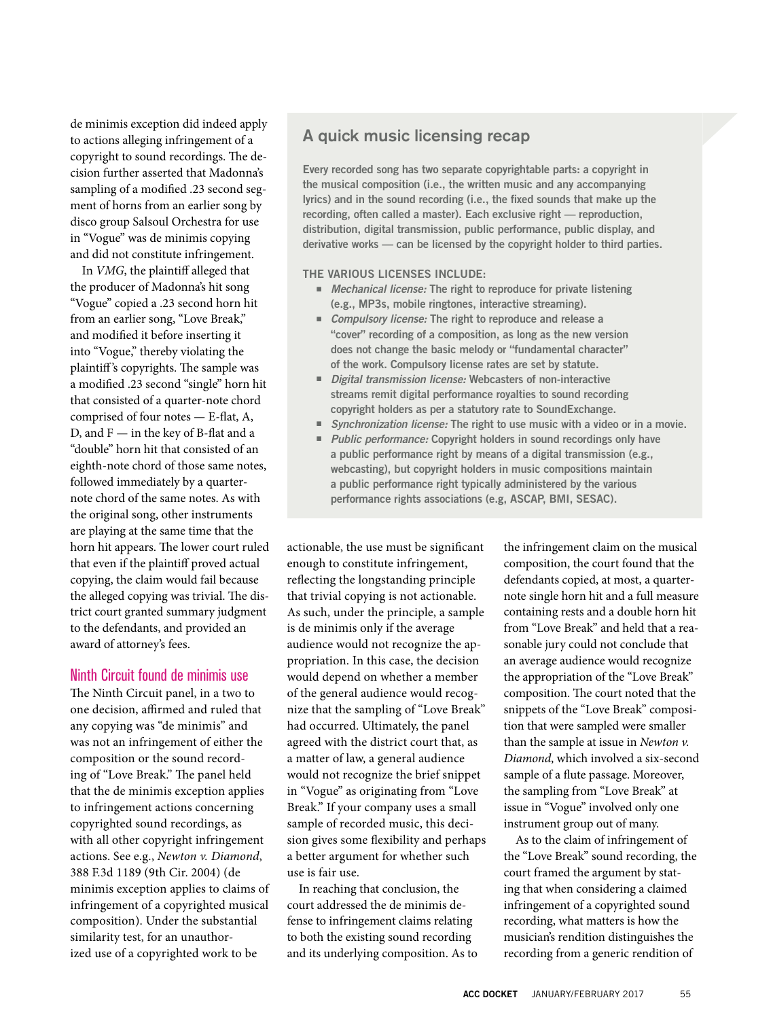de minimis exception did indeed apply to actions alleging infringement of a copyright to sound recordings. The decision further asserted that Madonna's sampling of a modified .23 second segment of horns from an earlier song by disco group Salsoul Orchestra for use in "Vogue" was de minimis copying and did not constitute infringement.

In *VMG*, the plaintiff alleged that the producer of Madonna's hit song "Vogue" copied a .23 second horn hit from an earlier song, "Love Break," and modified it before inserting it into "Vogue," thereby violating the plaintiff 's copyrights. The sample was a modified .23 second "single" horn hit that consisted of a quarter-note chord comprised of four notes — E-flat, A, D, and F — in the key of B-flat and a "double" horn hit that consisted of an eighth-note chord of those same notes, followed immediately by a quarternote chord of the same notes. As with the original song, other instruments are playing at the same time that the horn hit appears. The lower court ruled that even if the plaintiff proved actual copying, the claim would fail because the alleged copying was trivial. The district court granted summary judgment to the defendants, and provided an award of attorney's fees.

#### Ninth Circuit found de minimis use

The Ninth Circuit panel, in a two to one decision, affirmed and ruled that any copying was "de minimis" and was not an infringement of either the composition or the sound recording of "Love Break." The panel held that the de minimis exception applies to infringement actions concerning copyrighted sound recordings, as with all other copyright infringement actions. See e.g., *Newton v. Diamond*, 388 F.3d 1189 (9th Cir. 2004) (de minimis exception applies to claims of infringement of a copyrighted musical composition). Under the substantial similarity test, for an unauthorized use of a copyrighted work to be

# A quick music licensing recap

**Every recorded song has two separate copyrightable parts: a copyright in the musical composition (i.e., the written music and any accompanying lyrics) and in the sound recording (i.e., the fixed sounds that make up the recording, often called a master). Each exclusive right — reproduction, distribution, digital transmission, public performance, public display, and derivative works — can be licensed by the copyright holder to third parties.** 

**THE VARIOUS LICENSES INCLUDE:**

- *Mechanical license:* The right to reproduce for private listening **(e.g., MP3s, mobile ringtones, interactive streaming).**
- *Compulsory license:* **The right to reproduce and release a "cover" recording of a composition, as long as the new version does not change the basic melody or "fundamental character" of the work. Compulsory license rates are set by statute.**
- *Digital transmission license:* **Webcasters of non-interactive streams remit digital performance royalties to sound recording copyright holders as per a statutory rate to SoundExchange.**
- *Synchronization license:* The right to use music with a video or in a movie.
- *Public performance:* Copyright holders in sound recordings only have **a public performance right by means of a digital transmission (e.g., webcasting), but copyright holders in music compositions maintain a public performance right typically administered by the various performance rights associations (e.g, ASCAP, BMI, SESAC).**

actionable, the use must be significant enough to constitute infringement, reflecting the longstanding principle that trivial copying is not actionable. As such, under the principle, a sample is de minimis only if the average audience would not recognize the appropriation. In this case, the decision would depend on whether a member of the general audience would recognize that the sampling of "Love Break" had occurred. Ultimately, the panel agreed with the district court that, as a matter of law, a general audience would not recognize the brief snippet in "Vogue" as originating from "Love Break." If your company uses a small sample of recorded music, this decision gives some flexibility and perhaps a better argument for whether such use is fair use.

In reaching that conclusion, the court addressed the de minimis defense to infringement claims relating to both the existing sound recording and its underlying composition. As to

the infringement claim on the musical composition, the court found that the defendants copied, at most, a quarternote single horn hit and a full measure containing rests and a double horn hit from "Love Break" and held that a reasonable jury could not conclude that an average audience would recognize the appropriation of the "Love Break" composition. The court noted that the snippets of the "Love Break" composition that were sampled were smaller than the sample at issue in *Newton v. Diamond*, which involved a six-second sample of a flute passage. Moreover, the sampling from "Love Break" at issue in "Vogue" involved only one instrument group out of many.

As to the claim of infringement of the "Love Break" sound recording, the court framed the argument by stating that when considering a claimed infringement of a copyrighted sound recording, what matters is how the musician's rendition distinguishes the recording from a generic rendition of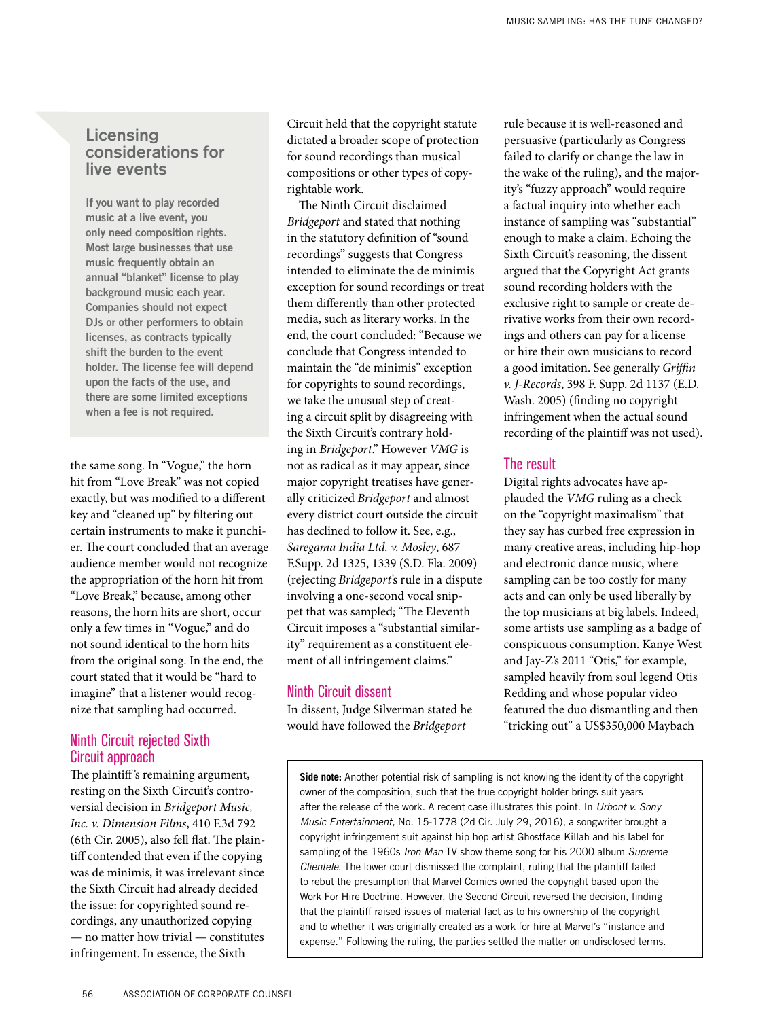## **Licensing** considerations for live events

**If you want to play recorded music at a live event, you only need composition rights. Most large businesses that use music frequently obtain an annual "blanket" license to play background music each year. Companies should not expect DJs or other performers to obtain licenses, as contracts typically shift the burden to the event holder. The license fee will depend upon the facts of the use, and there are some limited exceptions when a fee is not required.** 

the same song. In "Vogue," the horn hit from "Love Break" was not copied exactly, but was modified to a different key and "cleaned up" by filtering out certain instruments to make it punchier. The court concluded that an average audience member would not recognize the appropriation of the horn hit from "Love Break," because, among other reasons, the horn hits are short, occur only a few times in "Vogue," and do not sound identical to the horn hits from the original song. In the end, the court stated that it would be "hard to imagine" that a listener would recognize that sampling had occurred.

## Ninth Circuit rejected Sixth Circuit approach

The plaintiff's remaining argument, resting on the Sixth Circuit's controversial decision in *Bridgeport Music, Inc. v. Dimension Films*, 410 F.3d 792 (6th Cir. 2005), also fell flat. The plaintiff contended that even if the copying was de minimis, it was irrelevant since the Sixth Circuit had already decided the issue: for copyrighted sound recordings, any unauthorized copying — no matter how trivial — constitutes infringement. In essence, the Sixth

Circuit held that the copyright statute dictated a broader scope of protection for sound recordings than musical compositions or other types of copyrightable work.

The Ninth Circuit disclaimed *Bridgeport* and stated that nothing in the statutory definition of "sound recordings" suggests that Congress intended to eliminate the de minimis exception for sound recordings or treat them differently than other protected media, such as literary works. In the end, the court concluded: "Because we conclude that Congress intended to maintain the "de minimis" exception for copyrights to sound recordings, we take the unusual step of creating a circuit split by disagreeing with the Sixth Circuit's contrary holding in *Bridgeport*." However *VMG* is not as radical as it may appear, since major copyright treatises have generally criticized *Bridgeport* and almost every district court outside the circuit has declined to follow it. See, e.g., *Saregama India Ltd. v. Mosley*, 687 F.Supp. 2d 1325, 1339 (S.D. Fla. 2009) (rejecting *Bridgeport*'s rule in a dispute involving a one-second vocal snippet that was sampled; "The Eleventh Circuit imposes a "substantial similarity" requirement as a constituent element of all infringement claims."

## Ninth Circuit dissent

In dissent, Judge Silverman stated he would have followed the *Bridgeport*

rule because it is well-reasoned and persuasive (particularly as Congress failed to clarify or change the law in the wake of the ruling), and the majority's "fuzzy approach" would require a factual inquiry into whether each instance of sampling was "substantial" enough to make a claim. Echoing the Sixth Circuit's reasoning, the dissent argued that the Copyright Act grants sound recording holders with the exclusive right to sample or create derivative works from their own recordings and others can pay for a license or hire their own musicians to record a good imitation. See generally *Griffin v. J-Records*, 398 F. Supp. 2d 1137 (E.D. Wash. 2005) (finding no copyright infringement when the actual sound recording of the plaintiff was not used).

## The result

Digital rights advocates have applauded the *VMG* ruling as a check on the "copyright maximalism" that they say has curbed free expression in many creative areas, including hip-hop and electronic dance music, where sampling can be too costly for many acts and can only be used liberally by the top musicians at big labels. Indeed, some artists use sampling as a badge of conspicuous consumption. Kanye West and Jay-Z's 2011 "Otis," for example, sampled heavily from soul legend Otis Redding and whose popular video featured the duo dismantling and then "tricking out" a US\$350,000 Maybach

**Side note:** Another potential risk of sampling is not knowing the identity of the copyright owner of the composition, such that the true copyright holder brings suit years after the release of the work. A recent case illustrates this point. In *Urbont v. Sony Music Entertainment,* No. 15-1778 (2d Cir. July 29, 2016), a songwriter brought a copyright infringement suit against hip hop artist Ghostface Killah and his label for sampling of the 1960s *Iron Man* TV show theme song for his 2000 album *Supreme Clientele*. The lower court dismissed the complaint, ruling that the plaintiff failed to rebut the presumption that Marvel Comics owned the copyright based upon the Work For Hire Doctrine. However, the Second Circuit reversed the decision, finding that the plaintiff raised issues of material fact as to his ownership of the copyright and to whether it was originally created as a work for hire at Marvel's "instance and expense." Following the ruling, the parties settled the matter on undisclosed terms.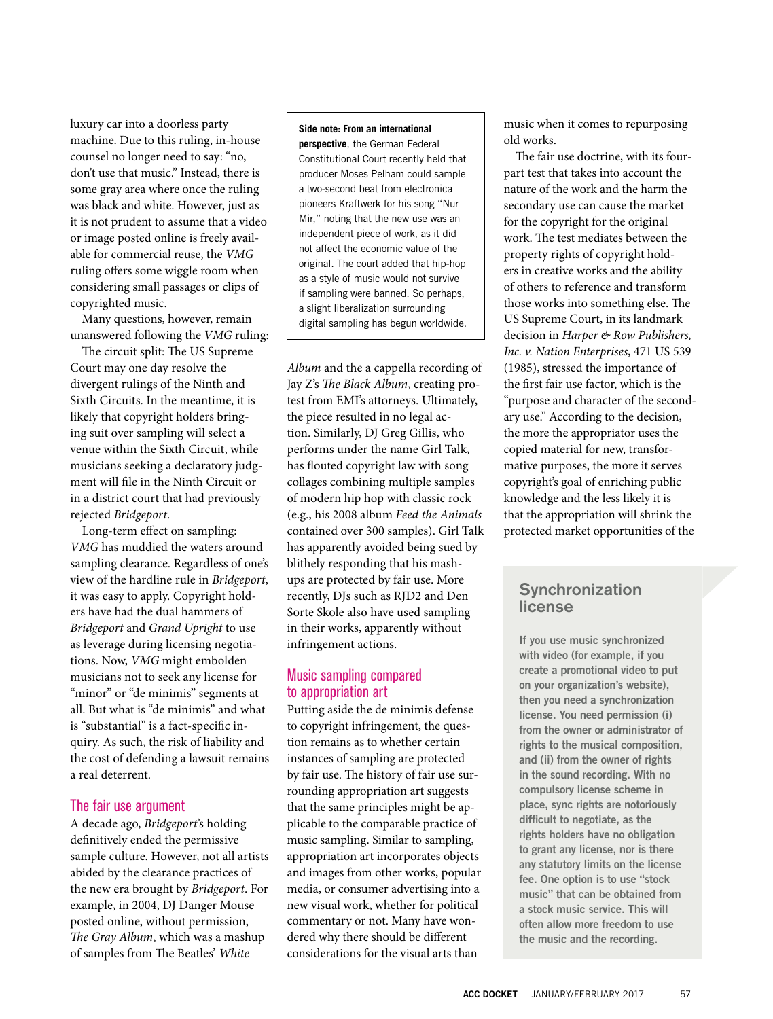luxury car into a doorless party machine. Due to this ruling, in-house counsel no longer need to say: "no, don't use that music." Instead, there is some gray area where once the ruling was black and white. However, just as it is not prudent to assume that a video or image posted online is freely available for commercial reuse, the *VMG* ruling offers some wiggle room when considering small passages or clips of copyrighted music.

Many questions, however, remain unanswered following the *VMG* ruling:

The circuit split: The US Supreme Court may one day resolve the divergent rulings of the Ninth and Sixth Circuits. In the meantime, it is likely that copyright holders bringing suit over sampling will select a venue within the Sixth Circuit, while musicians seeking a declaratory judgment will file in the Ninth Circuit or in a district court that had previously rejected *Bridgeport*.

Long-term effect on sampling: *VMG* has muddied the waters around sampling clearance. Regardless of one's view of the hardline rule in *Bridgeport*, it was easy to apply. Copyright holders have had the dual hammers of *Bridgeport* and *Grand Upright* to use as leverage during licensing negotiations. Now, *VMG* might embolden musicians not to seek any license for "minor" or "de minimis" segments at all. But what is "de minimis" and what is "substantial" is a fact-specific inquiry. As such, the risk of liability and the cost of defending a lawsuit remains a real deterrent.

## The fair use argument

A decade ago, *Bridgeport*'s holding definitively ended the permissive sample culture. However, not all artists abided by the clearance practices of the new era brought by *Bridgeport*. For example, in 2004, DJ Danger Mouse posted online, without permission, *The Gray Album*, which was a mashup of samples from The Beatles' *White* 

#### **Side note: From an international**

**perspective**, the German Federal Constitutional Court recently held that producer Moses Pelham could sample a two-second beat from electronica pioneers Kraftwerk for his song "Nur Mir," noting that the new use was an independent piece of work, as it did not affect the economic value of the original. The court added that hip-hop as a style of music would not survive if sampling were banned. So perhaps, a slight liberalization surrounding digital sampling has begun worldwide.

*Album* and the a cappella recording of Jay Z's *The Black Album*, creating protest from EMI's attorneys. Ultimately, the piece resulted in no legal action. Similarly, DJ Greg Gillis, who performs under the name Girl Talk, has flouted copyright law with song collages combining multiple samples of modern hip hop with classic rock (e.g., his 2008 album *Feed the Animals*  contained over 300 samples). Girl Talk has apparently avoided being sued by blithely responding that his mashups are protected by fair use. More recently, DJs such as RJD2 and Den Sorte Skole also have used sampling in their works, apparently without infringement actions.

## Music sampling compared to appropriation art

Putting aside the de minimis defense to copyright infringement, the question remains as to whether certain instances of sampling are protected by fair use. The history of fair use surrounding appropriation art suggests that the same principles might be applicable to the comparable practice of music sampling. Similar to sampling, appropriation art incorporates objects and images from other works, popular media, or consumer advertising into a new visual work, whether for political commentary or not. Many have wondered why there should be different considerations for the visual arts than

music when it comes to repurposing old works.

The fair use doctrine, with its fourpart test that takes into account the nature of the work and the harm the secondary use can cause the market for the copyright for the original work. The test mediates between the property rights of copyright holders in creative works and the ability of others to reference and transform those works into something else. The US Supreme Court, in its landmark decision in *Harper & Row Publishers, Inc. v. Nation Enterprises*, 471 US 539 (1985), stressed the importance of the first fair use factor, which is the "purpose and character of the secondary use." According to the decision, the more the appropriator uses the copied material for new, transformative purposes, the more it serves copyright's goal of enriching public knowledge and the less likely it is that the appropriation will shrink the protected market opportunities of the

## **Synchronization** license

**If you use music synchronized with video (for example, if you create a promotional video to put on your organization's website), then you need a synchronization license. You need permission (i) from the owner or administrator of rights to the musical composition, and (ii) from the owner of rights in the sound recording. With no compulsory license scheme in place, sync rights are notoriously difficult to negotiate, as the rights holders have no obligation to grant any license, nor is there any statutory limits on the license fee. One option is to use "stock music" that can be obtained from a stock music service. This will often allow more freedom to use the music and the recording.**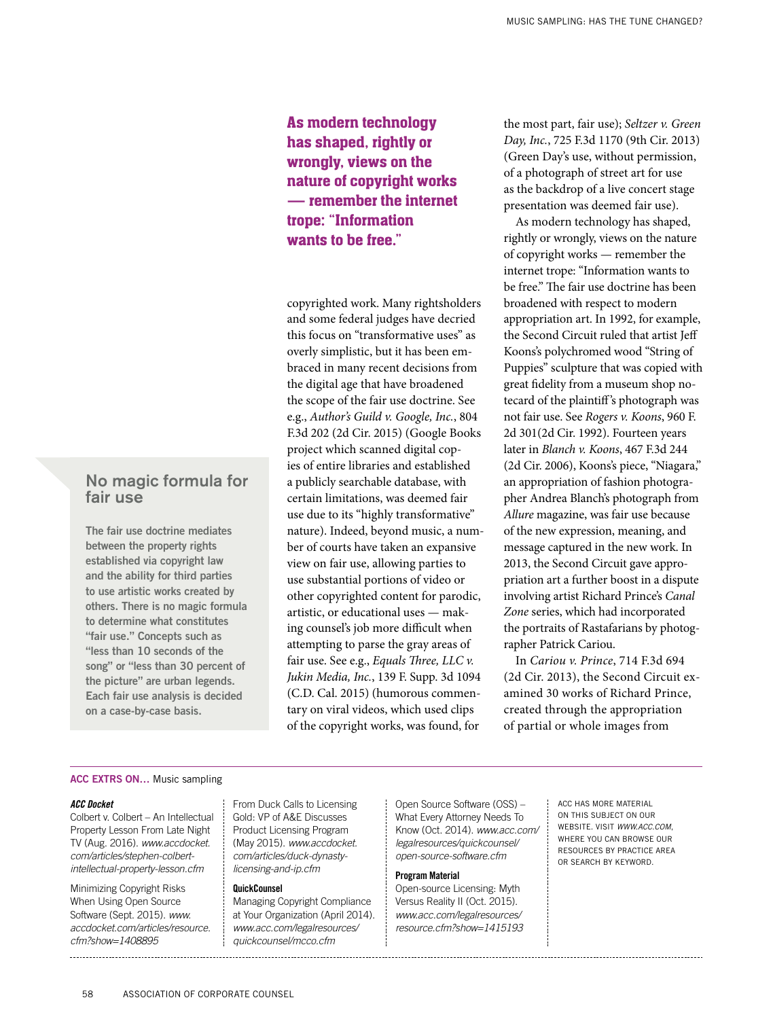# As modern technology has shaped, rightly or wrongly, views on the nature of copyright works — remember the internet trope: "Information wants to be free."

copyrighted work. Many rightsholders and some federal judges have decried this focus on "transformative uses" as overly simplistic, but it has been embraced in many recent decisions from the digital age that have broadened the scope of the fair use doctrine. See e.g., *Author's Guild v. Google, Inc.*, 804 F.3d 202 (2d Cir. 2015) (Google Books project which scanned digital copies of entire libraries and established a publicly searchable database, with certain limitations, was deemed fair use due to its "highly transformative" nature). Indeed, beyond music, a number of courts have taken an expansive view on fair use, allowing parties to use substantial portions of video or other copyrighted content for parodic, artistic, or educational uses — making counsel's job more difficult when attempting to parse the gray areas of fair use. See e.g., *Equals Three, LLC v. Jukin Media, Inc.*, 139 F. Supp. 3d 1094 (C.D. Cal. 2015) (humorous commentary on viral videos, which used clips of the copyright works, was found, for

the most part, fair use); *Seltzer v. Green Day, Inc.*, 725 F.3d 1170 (9th Cir. 2013) (Green Day's use, without permission, of a photograph of street art for use as the backdrop of a live concert stage presentation was deemed fair use).

As modern technology has shaped, rightly or wrongly, views on the nature of copyright works — remember the internet trope: "Information wants to be free." The fair use doctrine has been broadened with respect to modern appropriation art. In 1992, for example, the Second Circuit ruled that artist Jeff Koons's polychromed wood "String of Puppies" sculpture that was copied with great fidelity from a museum shop notecard of the plaintiff 's photograph was not fair use. See *Rogers v. Koons*, 960 F. 2d 301(2d Cir. 1992). Fourteen years later in *Blanch v. Koons*, 467 F.3d 244 (2d Cir. 2006), Koons's piece, "Niagara," an appropriation of fashion photographer Andrea Blanch's photograph from *Allure* magazine, was fair use because of the new expression, meaning, and message captured in the new work. In 2013, the Second Circuit gave appropriation art a further boost in a dispute involving artist Richard Prince's *Canal Zone* series, which had incorporated the portraits of Rastafarians by photographer Patrick Cariou.

In *Cariou v. Prince*, 714 F.3d 694 (2d Cir. 2013), the Second Circuit examined 30 works of Richard Prince, created through the appropriation of partial or whole images from

#### **ACC EXTRS ON…** Music sampling

No magic formula for

**The fair use doctrine mediates between the property rights established via copyright law and the ability for third parties to use artistic works created by others. There is no magic formula to determine what constitutes "fair use." Concepts such as "less than 10 seconds of the song" or "less than 30 percent of the picture" are urban legends. Each fair use analysis is decided on a case-by-case basis.**

fair use

#### *ACC Docket*

Colbert v. Colbert – An Intellectual Property Lesson From Late Night TV (Aug. 2016). *www.accdocket. com/articles/stephen-colbertintellectual-property-lesson.cfm*

Minimizing Copyright Risks When Using Open Source Software (Sept. 2015). *www. accdocket.com/articles/resource. cfm?show=1408895*

From Duck Calls to Licensing Gold: VP of A&E Discusses Product Licensing Program (May 2015). *www.accdocket. com/articles/duck-dynastylicensing-and-ip.cfm*

#### **QuickCounsel**

Managing Copyright Compliance at Your Organization (April 2014). *www.acc.com/legalresources/ quickcounsel/mcco.cfm*

Open Source Software (OSS) – What Every Attorney Needs To Know (Oct. 2014). *www.acc.com/ legalresources/quickcounsel/ open-source-software.cfm*

#### **Program Material**

Open-source Licensing: Myth Versus Reality II (Oct. 2015). *www.acc.com/legalresources/ resource.cfm?show=1415193*

ACC HAS MORE MATERIAL ON THIS SUBJECT ON OUR WEBSITE. VISIT *WWW.ACC.COM*, WHERE YOU CAN BROWSE OUR RESOURCES BY PRACTICE AREA OR SEARCH BY KEYWORD.

÷